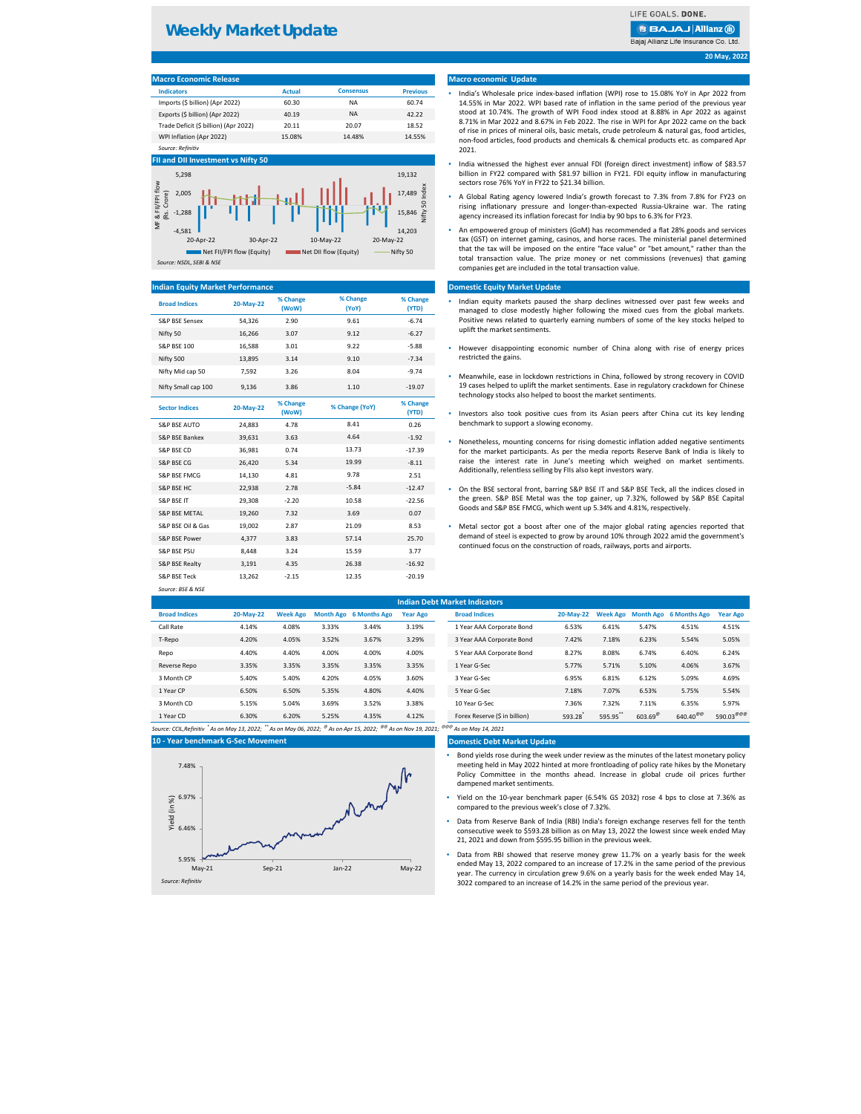| <b>Indicators</b>                     | <b>Actual</b> | <b>Consensus</b> | <b>Previous</b> |
|---------------------------------------|---------------|------------------|-----------------|
| Imports (\$ billion) (Apr 2022)       | 60.30         | ΝA               | 60.74           |
| Exports (\$ billion) (Apr 2022)       | 40.19         | ΝA               | 42.22           |
| Trade Deficit (\$ billion) (Apr 2022) | 20.11         | 20.07            | 18.52           |
| WPI Inflation (Apr 2022)              | 15.08%        | 14.48%           | 14.55%          |
| Source: Refinitiv                     |               |                  |                 |

| <b>Broad Indices</b>      | 20-May-22 | % Change<br>(WoW) | % Change<br>(YoY) | % Change<br>(YTD) | Indian equity markets paused the sharp declines witnessed over past few w<br>managed to close modestly higher following the mixed cues from the global |
|---------------------------|-----------|-------------------|-------------------|-------------------|--------------------------------------------------------------------------------------------------------------------------------------------------------|
| <b>S&amp;P BSE Sensex</b> | 54,326    | 2.90              | 9.61              | $-6.74$           | Positive news related to quarterly earning numbers of some of the key stocks I                                                                         |
| Nifty 50                  | 16,266    | 3.07              | 9.12              | $-6.27$           | uplift the market sentiments.                                                                                                                          |
| <b>S&amp;P BSE 100</b>    | 16,588    | 3.01              | 9.22              | $-5.88$           | However disappointing economic number of China along with rise of energ                                                                                |
| Nifty 500                 | 13,895    | 3.14              | 9.10              | $-7.34$           | restricted the gains.                                                                                                                                  |
| Nifty Mid cap 50          | 7,592     | 3.26              | 8.04              | $-9.74$           | Meanwhile, ease in lockdown restrictions in China, followed by strong recovery                                                                         |
| Nifty Small cap 100       | 9,136     | 3.86              | 1.10              | $-19.07$          | 19 cases helped to uplift the market sentiments. Ease in regulatory crackdown fo<br>technology stocks also helped to boost the market sentiments.      |
| <b>Sector Indices</b>     | 20-May-22 | % Change<br>(WoW) | % Change (YoY)    | % Change<br>(YTD) | Investors also took positive cues from its Asian peers after China cut its key                                                                         |
| <b>S&amp;P BSE AUTO</b>   | 24,883    | 4.78              | 8.41              | 0.26              | benchmark to support a slowing economy.                                                                                                                |
| S&P BSE Bankex            | 39,631    | 3.63              | 4.64              | $-1.92$           | Nonetheless, mounting concerns for rising domestic inflation added negative se                                                                         |
| <b>S&amp;P BSE CD</b>     | 36,981    | 0.74              | 13.73             | $-17.39$          | for the market participants. As per the media reports Reserve Bank of India is                                                                         |
| S&P BSE CG                | 26,420    | 5.34              | 19.99             | $-8.11$           | raise the interest rate in June's meeting which weighed on market se                                                                                   |
| <b>S&amp;P BSE FMCG</b>   | 14,130    | 4.81              | 9.78              | 2.51              | Additionally, relentless selling by FIIs also kept investors wary.                                                                                     |
| <b>S&amp;P BSE HC</b>     | 22,938    | 2.78              | $-5.84$           | $-12.47$          | On the BSE sectoral front, barring S&P BSE IT and S&P BSE Teck, all the indices                                                                        |
| <b>S&amp;P BSE IT</b>     | 29,308    | $-2.20$           | 10.58             | $-22.56$          | the green. S&P BSE Metal was the top gainer, up 7.32%, followed by S&P BS                                                                              |
| <b>S&amp;P BSE METAL</b>  | 19,260    | 7.32              | 3.69              | 0.07              | Goods and S&P BSE FMCG, which went up 5.34% and 4.81%, respectively.                                                                                   |
| S&P BSE Oil & Gas         | 19,002    | 2.87              | 21.09             | 8.53              | Metal sector got a boost after one of the major global rating agencies repo<br>۰                                                                       |
| S&P BSE Power             | 4,377     | 3.83              | 57.14             | 25.70             | demand of steel is expected to grow by around 10% through 2022 amid the gove                                                                           |
| <b>S&amp;P BSE PSU</b>    | 8,448     | 3.24              | 15.59             | 3.77              | continued focus on the construction of roads, railways, ports and airports.                                                                            |
| S&P BSE Realty            | 3,191     | 4.35              | 26.38             | $-16.92$          |                                                                                                                                                        |
| S&P BSE Teck              | 13,262    | $-2.15$           | 12.35             | $-20.19$          |                                                                                                                                                        |
| Source: BSE & NSE         |           |                   |                   |                   |                                                                                                                                                        |

**Broad Indices 20-May-22 Week Ago Month Ago 6 Months Ago Year Ago Broad Indices 20-May-22 Week Ago Month Ago 6 Months Ago Year Ago** Call Rate 4.14% 4.08% 3.33% 3.44% 3.19% 1 Year AAA Corporate Bond 6.53% 6.41% 5.47% 4.51% 4.51% T-Repo 4.20% 4.05% 3.52% 3.67% 3.29% 3 Year AAA Corporate Bond 7.42% 7.18% 6.23% 5.54% 5.05% Repo 4.40% 4.40% 4.00% 4.00% 4.00% 5 Year AAA Corporate Bond 8.27% 8.08% 6.74% 6.40% 6.24% Reverse Repo 3.35% 3.35% 3.35% 3.35% 3.35% 1 Year G-Sec 5.77% 5.71% 5.10% 4.06% 3.67% 3 Month CP 5.40% 5.40% 4.20% 4.05% 3.60% 3 Year G-Sec 6.95% 6.81% 6.12% 5.09% 4.69% 1 Year CP 6.50% 6.50% 5.35% 4.80% 4.40% 5 Year G-Sec 7.18% 7.07% 6.53% 5.75% 5.54% **Indian Debt Market Indicators**

| 3 Month CD | 5.15% | 5.04%    | 3.69% | 3.52% | 3.38% | 10 Year G-Sec                 | 7.36%  | 7.32%  | 7.11%                 | 6.35%                | 5.97%                               |
|------------|-------|----------|-------|-------|-------|-------------------------------|--------|--------|-----------------------|----------------------|-------------------------------------|
| 1 Year CD  | 6.30% | $5.20\%$ | 5.25% | 1.35% | 4.12% | Forex Reserve (\$ in billion) | 593.28 | 595.95 | $603.69^{\circ\circ}$ | $640.40^{\circledR}$ | 590.03 $^{\tiny\textregistered}$ @@ |

#### **Domestic Debt Market Update**

## **20 May, 2022**

# **Macro economic Update**

# **Domestic Equity Market Update**

## **Indian Equity Market Performance**

#### **FII and DII Investment vs Nifty 50**

#### **Macro Economic Release**

- Indian equity markets paused the sharp declines witnessed over past few weeks and managed to close modestly higher following the mixed cues from the global markets. Positive news related to quarterly earning numbers of some of the key stocks helped to uplift the market sentiments.
- However disappointing economic number of China along with rise of energy prices restricted the gains.
- Meanwhile, ease in lockdown restrictions in China, followed by strong recovery in COVID 19 cases helped to uplift the market sentiments. Ease in regulatory crackdown for Chinese technology stocks also helped to boost the market sentiments.
- Investors also took positive cues from its Asian peers after China cut its key lending benchmark to support a slowing economy.
- Nonetheless, mounting concerns for rising domestic inflation added negative sentiments for the market participants. As per the media reports Reserve Bank of India is likely to raise the interest rate in June's meeting which weighed on market sentiments.
- On the BSE sectoral front, barring S&P BSE IT and S&P BSE Teck, all the indices closed in the green. S&P BSE Metal was the top gainer, up 7.32%, followed by S&P BSE Capital Goods and S&P BSE FMCG, which went up 5.34% and 4.81%, respectively.
- Metal sector got a boost after one of the major global rating agencies reported that demand of steel is expected to grow by around 10% through 2022 amid the government's continued focus on the construction of roads, railways, ports and airports.

# **Weekly Market Update**

LIFE GOALS. DONE.

# **BBAJAJ Allianz (ii)**

Bajaj Allianz Life Insurance Co. Ltd





- India's Wholesale price index-based inflation (WPI) rose to 15.08% YoY in Apr 2022 from 14.55% in Mar 2022. WPI based rate of inflation in the same period of the previous year stood at 10.74%. The growth of WPI Food index stood at 8.88% in Apr 2022 as against 8.71% in Mar 2022 and 8.67% in Feb 2022. The rise in WPI for Apr 2022 came on the back of rise in prices of mineral oils, basic metals, crude petroleum & natural gas, food articles, non-food articles, food products and chemicals & chemical products etc. as compared Apr 2021.
- India witnessed the highest ever annual FDI (foreign direct investment) inflow of \$83.57 billion in FY22 compared with \$81.97 billion in FY21. FDI equity inflow in manufacturing sectors rose 76% YoY in FY22 to \$21.34 billion.
- A Global Rating agency lowered India's growth forecast to 7.3% from 7.8% for FY23 on rising inflationary pressure and longer-than-expected Russia-Ukraine war. The rating agency increased its inflation forecast for India by 90 bps to 6.3% for FY23.
- An empowered group of ministers (GoM) has recommended a flat 28% goods and services tax (GST) on internet gaming, casinos, and horse races. The ministerial panel determined that the tax will be imposed on the entire "face value" or "bet amount," rather than the total transaction value. The prize money or net commissions (revenues) that gaming companies get are included in the total transaction value.

- Bond yields rose during the week under review as the minutes of the latest monetary policy meeting held in May 2022 hinted at more frontloading of policy rate hikes by the Monetary Policy Committee in the months ahead. Increase in global crude oil prices further dampened market sentiments.
- Yield on the 10-year benchmark paper (6.54% GS 2032) rose 4 bps to close at 7.36% as compared to the previous week's close of 7.32%.
- Data from Reserve Bank of India (RBI) India's foreign exchange reserves fell for the tenth consecutive week to \$593.28 billion as on May 13, 2022 the lowest since week ended May 21, 2021 and down from \$595.95 billion in the previous week.
- Data from RBI showed that reserve money grew 11.7% on a yearly basis for the week ended May 13, 2022 compared to an increase of 17.2% in the same period of the previous year. The currency in circulation grew 9.6% on a yearly basis for the week ended May 14, 3022 compared to an increase of 14.2% in the same period of the previous year.